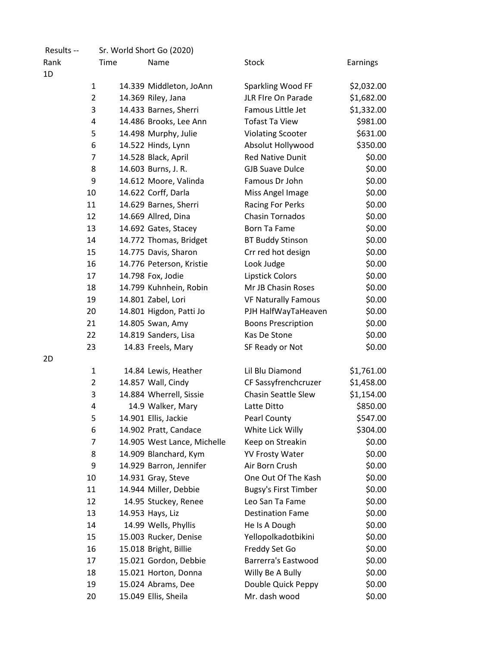| Results --     |      | Sr. World Short Go (2020)   |                             |                 |
|----------------|------|-----------------------------|-----------------------------|-----------------|
| Rank           | Time | Name                        | <b>Stock</b>                | <b>Earnings</b> |
| 1D             |      |                             |                             |                 |
| 1              |      | 14.339 Middleton, JoAnn     | Sparkling Wood FF           | \$2,032.00      |
| $\overline{2}$ |      | 14.369 Riley, Jana          | JLR FIre On Parade          | \$1,682.00      |
| 3              |      | 14.433 Barnes, Sherri       | Famous Little Jet           | \$1,332.00      |
| 4              |      | 14.486 Brooks, Lee Ann      | <b>Tofast Ta View</b>       | \$981.00        |
| 5              |      | 14.498 Murphy, Julie        | <b>Violating Scooter</b>    | \$631.00        |
| 6              |      | 14.522 Hinds, Lynn          | Absolut Hollywood           | \$350.00        |
| $\overline{7}$ |      | 14.528 Black, April         | <b>Red Native Dunit</b>     | \$0.00          |
| 8              |      | 14.603 Burns, J. R.         | <b>GJB Suave Dulce</b>      | \$0.00          |
| 9              |      | 14.612 Moore, Valinda       | Famous Dr John              | \$0.00          |
| 10             |      | 14.622 Corff, Darla         | Miss Angel Image            | \$0.00          |
| 11             |      | 14.629 Barnes, Sherri       | Racing For Perks            | \$0.00          |
| 12             |      | 14.669 Allred, Dina         | <b>Chasin Tornados</b>      | \$0.00          |
| 13             |      | 14.692 Gates, Stacey        | <b>Born Ta Fame</b>         | \$0.00          |
| 14             |      | 14.772 Thomas, Bridget      | <b>BT Buddy Stinson</b>     | \$0.00          |
| 15             |      | 14.775 Davis, Sharon        | Crr red hot design          | \$0.00          |
| 16             |      | 14.776 Peterson, Kristie    | Look Judge                  | \$0.00          |
| 17             |      | 14.798 Fox, Jodie           | Lipstick Colors             | \$0.00          |
| 18             |      | 14.799 Kuhnhein, Robin      | Mr JB Chasin Roses          | \$0.00          |
| 19             |      | 14.801 Zabel, Lori          | <b>VF Naturally Famous</b>  | \$0.00          |
| 20             |      | 14.801 Higdon, Patti Jo     | PJH HalfWayTaHeaven         | \$0.00          |
| 21             |      | 14.805 Swan, Amy            | <b>Boons Prescription</b>   | \$0.00          |
| 22             |      | 14.819 Sanders, Lisa        | Kas De Stone                | \$0.00          |
| 23             |      | 14.83 Freels, Mary          | SF Ready or Not             | \$0.00          |
| 2D             |      |                             |                             |                 |
| 1              |      | 14.84 Lewis, Heather        | Lil Blu Diamond             | \$1,761.00      |
| $\overline{2}$ |      | 14.857 Wall, Cindy          | CF Sassyfrenchcruzer        | \$1,458.00      |
| 3              |      | 14.884 Wherrell, Sissie     | <b>Chasin Seattle Slew</b>  | \$1,154.00      |
| 4              |      | 14.9 Walker, Mary           | Latte Ditto                 | \$850.00        |
| 5              |      | 14.901 Ellis, Jackie        | <b>Pearl County</b>         | \$547.00        |
| 6              |      | 14.902 Pratt, Candace       | White Lick Willy            | \$304.00        |
| 7              |      | 14.905 West Lance, Michelle | Keep on Streakin            | \$0.00          |
| 8              |      | 14.909 Blanchard, Kym       | <b>YV Frosty Water</b>      | \$0.00          |
| 9              |      | 14.929 Barron, Jennifer     | Air Born Crush              | \$0.00          |
| 10             |      | 14.931 Gray, Steve          | One Out Of The Kash         | \$0.00          |
| 11             |      | 14.944 Miller, Debbie       | <b>Bugsy's First Timber</b> | \$0.00          |
| 12             |      | 14.95 Stuckey, Renee        | Leo San Ta Fame             | \$0.00          |
| 13             |      | 14.953 Hays, Liz            | <b>Destination Fame</b>     | \$0.00          |
| 14             |      | 14.99 Wells, Phyllis        | He Is A Dough               | \$0.00          |
| 15             |      | 15.003 Rucker, Denise       | Yellopolkadotbikini         | \$0.00          |
| 16             |      | 15.018 Bright, Billie       | Freddy Set Go               | \$0.00          |
| 17             |      | 15.021 Gordon, Debbie       | <b>Barrerra's Eastwood</b>  | \$0.00          |
| 18             |      | 15.021 Horton, Donna        | Willy Be A Bully            | \$0.00          |
| 19             |      | 15.024 Abrams, Dee          | Double Quick Peppy          | \$0.00          |
| 20             |      | 15.049 Ellis, Sheila        | Mr. dash wood               | \$0.00          |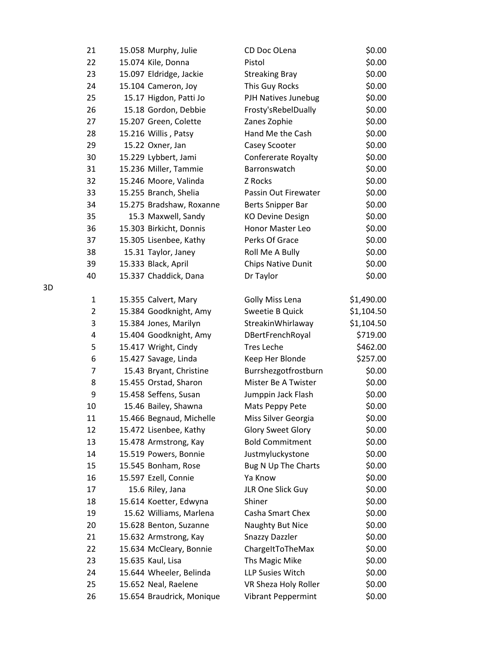| 21 | 15.058 Murphy, Julie      | CD Doc OLena               | \$0.00     |
|----|---------------------------|----------------------------|------------|
| 22 | 15.074 Kile, Donna        | Pistol                     | \$0.00     |
| 23 | 15.097 Eldridge, Jackie   | <b>Streaking Bray</b>      | \$0.00     |
| 24 | 15.104 Cameron, Joy       | This Guy Rocks             | \$0.00     |
| 25 | 15.17 Higdon, Patti Jo    | PJH Natives Junebug        | \$0.00     |
| 26 | 15.18 Gordon, Debbie      | Frosty'sRebelDually        | \$0.00     |
| 27 | 15.207 Green, Colette     | Zanes Zophie               | \$0.00     |
| 28 | 15.216 Willis, Patsy      | Hand Me the Cash           | \$0.00     |
| 29 | 15.22 Oxner, Jan          | Casey Scooter              | \$0.00     |
| 30 | 15.229 Lybbert, Jami      | <b>Confererate Royalty</b> | \$0.00     |
| 31 | 15.236 Miller, Tammie     | Barronswatch               | \$0.00     |
| 32 | 15.246 Moore, Valinda     | Z Rocks                    | \$0.00     |
| 33 | 15.255 Branch, Shelia     | Passin Out Firewater       | \$0.00     |
| 34 | 15.275 Bradshaw, Roxanne  | Berts Snipper Bar          | \$0.00     |
| 35 | 15.3 Maxwell, Sandy       | <b>KO Devine Design</b>    | \$0.00     |
| 36 | 15.303 Birkicht, Donnis   | Honor Master Leo           | \$0.00     |
| 37 | 15.305 Lisenbee, Kathy    | Perks Of Grace             | \$0.00     |
| 38 | 15.31 Taylor, Janey       | Roll Me A Bully            | \$0.00     |
| 39 | 15.333 Black, April       | Chips Native Dunit         | \$0.00     |
| 40 | 15.337 Chaddick, Dana     | Dr Taylor                  | \$0.00     |
| 1  | 15.355 Calvert, Mary      | Golly Miss Lena            | \$1,490.00 |
| 2  | 15.384 Goodknight, Amy    | <b>Sweetie B Quick</b>     | \$1,104.50 |
| 3  | 15.384 Jones, Marilyn     | StreakinWhirlaway          | \$1,104.50 |
| 4  | 15.404 Goodknight, Amy    | DBertFrenchRoyal           | \$719.00   |
| 5  | 15.417 Wright, Cindy      | <b>Tres Leche</b>          | \$462.00   |
| 6  | 15.427 Savage, Linda      | Keep Her Blonde            | \$257.00   |
| 7  | 15.43 Bryant, Christine   | Burrshezgotfrostburn       | \$0.00     |
| 8  | 15.455 Orstad, Sharon     | Mister Be A Twister        | \$0.00     |
| 9  | 15.458 Seffens, Susan     | Jumppin Jack Flash         | \$0.00     |
| 10 | 15.46 Bailey, Shawna      | Mats Peppy Pete            | \$0.00     |
| 11 | 15.466 Begnaud, Michelle  | Miss Silver Georgia        | \$0.00     |
| 12 | 15.472 Lisenbee, Kathy    | <b>Glory Sweet Glory</b>   | \$0.00     |
| 13 | 15.478 Armstrong, Kay     | <b>Bold Commitment</b>     | \$0.00     |
| 14 | 15.519 Powers, Bonnie     | Justmyluckystone           | \$0.00     |
| 15 | 15.545 Bonham, Rose       | Bug N Up The Charts        | \$0.00     |
| 16 | 15.597 Ezell, Connie      | Ya Know                    | \$0.00     |
| 17 | 15.6 Riley, Jana          | JLR One Slick Guy          | \$0.00     |
| 18 | 15.614 Koetter, Edwyna    | Shiner                     | \$0.00     |
| 19 | 15.62 Williams, Marlena   | Casha Smart Chex           | \$0.00     |
| 20 | 15.628 Benton, Suzanne    | Naughty But Nice           | \$0.00     |
| 21 | 15.632 Armstrong, Kay     | <b>Snazzy Dazzler</b>      | \$0.00     |
| 22 | 15.634 McCleary, Bonnie   | ChargeItToTheMax           | \$0.00     |
| 23 | 15.635 Kaul, Lisa         | Ths Magic Mike             | \$0.00     |
| 24 | 15.644 Wheeler, Belinda   | LLP Susies Witch           | \$0.00     |
| 25 | 15.652 Neal, Raelene      | VR Sheza Holy Roller       | \$0.00     |
| 26 | 15.654 Braudrick, Monique | <b>Vibrant Peppermint</b>  | \$0.00     |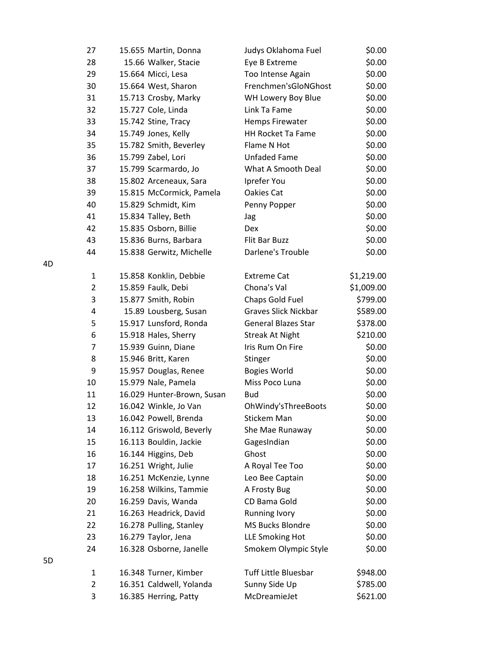| 27             | 15.655 Martin, Donna       | Judys Oklahoma Fuel         | \$0.00     |
|----------------|----------------------------|-----------------------------|------------|
| 28             | 15.66 Walker, Stacie       | Eye B Extreme               | \$0.00     |
| 29             | 15.664 Micci, Lesa         | Too Intense Again           | \$0.00     |
| 30             | 15.664 West, Sharon        | Frenchmen'sGloNGhost        | \$0.00     |
| 31             | 15.713 Crosby, Marky       | WH Lowery Boy Blue          | \$0.00     |
| 32             | 15.727 Cole, Linda         | Link Ta Fame                | \$0.00     |
| 33             | 15.742 Stine, Tracy        | <b>Hemps Firewater</b>      | \$0.00     |
| 34             | 15.749 Jones, Kelly        | <b>HH Rocket Ta Fame</b>    | \$0.00     |
| 35             | 15.782 Smith, Beverley     | Flame N Hot                 | \$0.00     |
| 36             | 15.799 Zabel, Lori         | Unfaded Fame                | \$0.00     |
| 37             | 15.799 Scarmardo, Jo       | What A Smooth Deal          | \$0.00     |
| 38             | 15.802 Arceneaux, Sara     | Iprefer You                 | \$0.00     |
| 39             | 15.815 McCormick, Pamela   | Oakies Cat                  | \$0.00     |
| 40             | 15.829 Schmidt, Kim        | Penny Popper                | \$0.00     |
| 41             | 15.834 Talley, Beth        | Jag                         | \$0.00     |
| 42             | 15.835 Osborn, Billie      | Dex.                        | \$0.00     |
| 43             | 15.836 Burns, Barbara      | Flit Bar Buzz               | \$0.00     |
| 44             | 15.838 Gerwitz, Michelle   | Darlene's Trouble           | \$0.00     |
| 1              | 15.858 Konklin, Debbie     | Extreme Cat                 | \$1,219.00 |
| 2              | 15.859 Faulk, Debi         | Chona's Val                 | \$1,009.00 |
| 3              | 15.877 Smith, Robin        | Chaps Gold Fuel             | \$799.00   |
| 4              | 15.89 Lousberg, Susan      | <b>Graves Slick Nickbar</b> | \$589.00   |
| 5              | 15.917 Lunsford, Ronda     | <b>General Blazes Star</b>  | \$378.00   |
| 6              | 15.918 Hales, Sherry       | <b>Streak At Night</b>      | \$210.00   |
| 7              | 15.939 Guinn, Diane        | Iris Rum On Fire            | \$0.00     |
| 8              | 15.946 Britt, Karen        | Stinger                     | \$0.00     |
| 9              | 15.957 Douglas, Renee      | <b>Bogies World</b>         | \$0.00     |
| 10             | 15.979 Nale, Pamela        | Miss Poco Luna              | \$0.00     |
| 11             | 16.029 Hunter-Brown, Susan | <b>Bud</b>                  | \$0.00     |
| 12             | 16.042 Winkle, Jo Van      | OhWindy'sThreeBoots         | \$0.00     |
| 13             | 16.042 Powell, Brenda      | Stickem Man                 | \$0.00     |
| 14             | 16.112 Griswold, Beverly   | She Mae Runaway             | \$0.00     |
| 15             | 16.113 Bouldin, Jackie     | GagesIndian                 | \$0.00     |
| 16             | 16.144 Higgins, Deb        | Ghost                       | \$0.00     |
| 17             | 16.251 Wright, Julie       | A Royal Tee Too             | \$0.00     |
| 18             | 16.251 McKenzie, Lynne     | Leo Bee Captain             | \$0.00     |
| 19             | 16.258 Wilkins, Tammie     | A Frosty Bug                | \$0.00     |
| 20             | 16.259 Davis, Wanda        | CD Bama Gold                | \$0.00     |
| 21             | 16.263 Headrick, David     | <b>Running Ivory</b>        | \$0.00     |
| 22             | 16.278 Pulling, Stanley    | MS Bucks Blondre            | \$0.00     |
| 23             | 16.279 Taylor, Jena        | <b>LLE Smoking Hot</b>      | \$0.00     |
| 24             | 16.328 Osborne, Janelle    | Smokem Olympic Style        | \$0.00     |
| 1              | 16.348 Turner, Kimber      | <b>Tuff Little Bluesbar</b> | \$948.00   |
| $\overline{2}$ | 16.351 Caldwell, Yolanda   | Sunny Side Up               | \$785.00   |
| 3              | 16.385 Herring, Patty      | McDreamieJet                | \$621.00   |

5D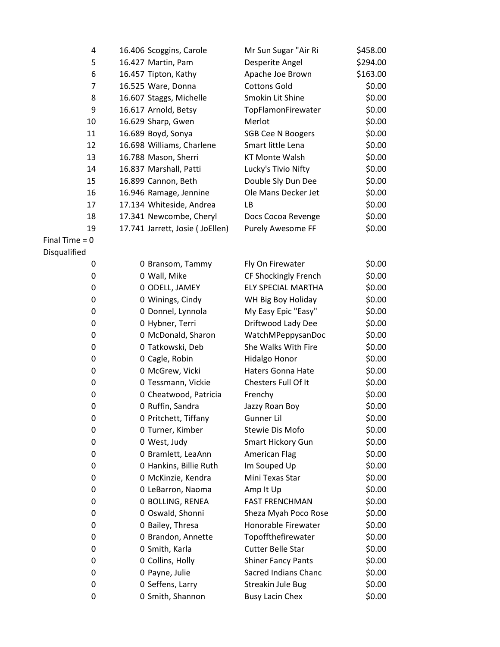| 4                | 16.406 Scoggins, Carole         | Mr Sun Sugar "Air Ri      | \$458.00 |
|------------------|---------------------------------|---------------------------|----------|
| 5                | 16.427 Martin, Pam              | Desperite Angel           | \$294.00 |
| 6                | 16.457 Tipton, Kathy            | Apache Joe Brown          | \$163.00 |
| 7                | 16.525 Ware, Donna              | <b>Cottons Gold</b>       | \$0.00   |
| 8                | 16.607 Staggs, Michelle         | Smokin Lit Shine          | \$0.00   |
| 9                | 16.617 Arnold, Betsy            | TopFlamonFirewater        | \$0.00   |
| 10               | 16.629 Sharp, Gwen              | Merlot                    | \$0.00   |
| 11               | 16.689 Boyd, Sonya              | <b>SGB Cee N Boogers</b>  | \$0.00   |
| 12               | 16.698 Williams, Charlene       | Smart little Lena         | \$0.00   |
| 13               | 16.788 Mason, Sherri            | <b>KT Monte Walsh</b>     | \$0.00   |
| 14               | 16.837 Marshall, Patti          | Lucky's Tivio Nifty       | \$0.00   |
| 15               | 16.899 Cannon, Beth             | Double Sly Dun Dee        | \$0.00   |
| 16               | 16.946 Ramage, Jennine          | Ole Mans Decker Jet       | \$0.00   |
| 17               | 17.134 Whiteside, Andrea        | LB                        | \$0.00   |
| 18               | 17.341 Newcombe, Cheryl         | Docs Cocoa Revenge        | \$0.00   |
| 19               | 17.741 Jarrett, Josie (JoEllen) | <b>Purely Awesome FF</b>  | \$0.00   |
| Final Time $= 0$ |                                 |                           |          |
| Disqualified     |                                 |                           |          |
| 0                | 0 Bransom, Tammy                | Fly On Firewater          | \$0.00   |
| 0                | 0 Wall, Mike                    | CF Shockingly French      | \$0.00   |
| 0                | 0 ODELL, JAMEY                  | <b>ELY SPECIAL MARTHA</b> | \$0.00   |
| 0                | 0 Winings, Cindy                | WH Big Boy Holiday        | \$0.00   |
| 0                | 0 Donnel, Lynnola               | My Easy Epic "Easy"       | \$0.00   |
| 0                | 0 Hybner, Terri                 | Driftwood Lady Dee        | \$0.00   |
| 0                | 0 McDonald, Sharon              | WatchMPeppysanDoc         | \$0.00   |
| 0                | 0 Tatkowski, Deb                | She Walks With Fire       | \$0.00   |
| 0                | 0 Cagle, Robin                  | <b>Hidalgo Honor</b>      | \$0.00   |
| 0                | 0 McGrew, Vicki                 | <b>Haters Gonna Hate</b>  | \$0.00   |
| 0                | 0 Tessmann, Vickie              | Chesters Full Of It       | \$0.00   |
| 0                | 0 Cheatwood, Patricia           | Frenchy                   | \$0.00   |
| 0                | 0 Ruffin, Sandra                | Jazzy Roan Boy            | \$0.00   |
| 0                | 0 Pritchett, Tiffany            | Gunner Lil                | \$0.00   |
| 0                | 0 Turner, Kimber                | <b>Stewie Dis Mofo</b>    | \$0.00   |
| 0                | 0 West, Judy                    | Smart Hickory Gun         | \$0.00   |
| 0                | 0 Bramlett, LeaAnn              | <b>American Flag</b>      | \$0.00   |
| 0                | 0 Hankins, Billie Ruth          | Im Souped Up              | \$0.00   |
| 0                | 0 McKinzie, Kendra              | Mini Texas Star           | \$0.00   |
| 0                | 0 LeBarron, Naoma               | Amp It Up                 | \$0.00   |
| 0                | 0 BOLLING, RENEA                | <b>FAST FRENCHMAN</b>     | \$0.00   |
| 0                | 0 Oswald, Shonni                | Sheza Myah Poco Rose      | \$0.00   |
| 0                | 0 Bailey, Thresa                | Honorable Firewater       | \$0.00   |
| 0                | 0 Brandon, Annette              | Topoffthefirewater        | \$0.00   |
| 0                | 0 Smith, Karla                  | <b>Cutter Belle Star</b>  | \$0.00   |
| 0                | 0 Collins, Holly                | <b>Shiner Fancy Pants</b> | \$0.00   |
| 0                | 0 Payne, Julie                  | Sacred Indians Chanc      | \$0.00   |
| 0                | 0 Seffens, Larry                | Streakin Jule Bug         | \$0.00   |
| 0                | 0 Smith, Shannon                | <b>Busy Lacin Chex</b>    | \$0.00   |